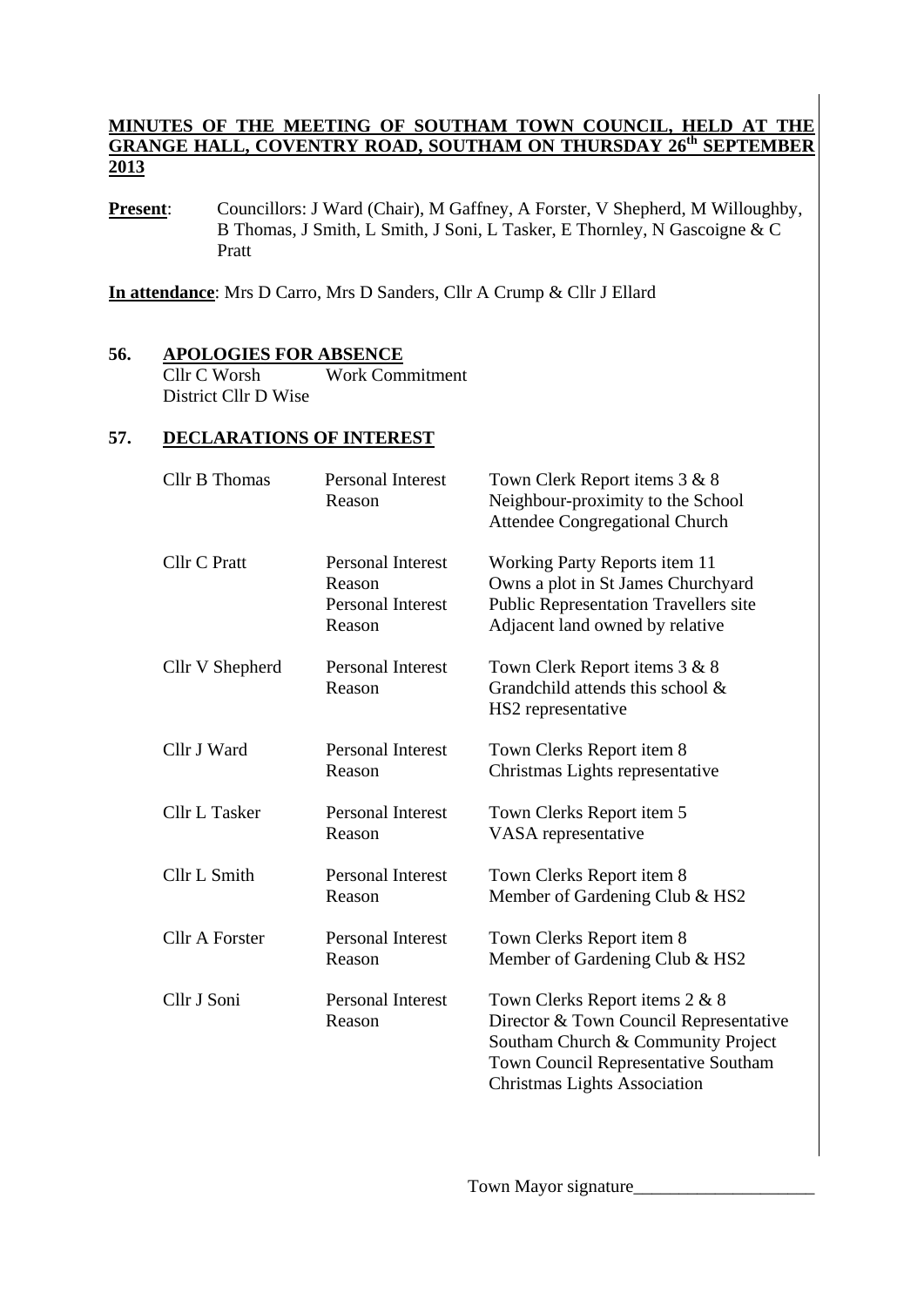#### **MINUTES OF THE MEETING OF SOUTHAM TOWN COUNCIL, HELD AT THE GRANGE HALL, COVENTRY ROAD, SOUTHAM ON THURSDAY 26th SEPTEMBER 2013**

**Present**: Councillors: J Ward (Chair), M Gaffney, A Forster, V Shepherd, M Willoughby, B Thomas, J Smith, L Smith, J Soni, L Tasker, E Thornley, N Gascoigne & C Pratt

**In attendance**: Mrs D Carro, Mrs D Sanders, Cllr A Crump & Cllr J Ellard

#### **56. APOLOGIES FOR ABSENCE** Cllr C Worsh Work Commitment District Cllr D Wise

#### **57. DECLARATIONS OF INTEREST**

| <b>Cllr B Thomas</b>  | <b>Personal Interest</b><br>Reason                                       | Town Clerk Report items 3 & 8<br>Neighbour-proximity to the School<br>Attendee Congregational Church                                                                                         |  |
|-----------------------|--------------------------------------------------------------------------|----------------------------------------------------------------------------------------------------------------------------------------------------------------------------------------------|--|
| Cllr C Pratt          | <b>Personal Interest</b><br>Reason<br><b>Personal Interest</b><br>Reason | <b>Working Party Reports item 11</b><br>Owns a plot in St James Churchyard<br><b>Public Representation Travellers site</b><br>Adjacent land owned by relative                                |  |
| Cllr V Shepherd       | <b>Personal Interest</b><br>Reason                                       | Town Clerk Report items 3 & 8<br>Grandchild attends this school $\&$<br>HS2 representative                                                                                                   |  |
| Cllr J Ward           | <b>Personal Interest</b><br>Reason                                       | Town Clerks Report item 8<br>Christmas Lights representative                                                                                                                                 |  |
| <b>Cllr L Tasker</b>  | <b>Personal Interest</b><br>Reason                                       | Town Clerks Report item 5<br>VASA representative                                                                                                                                             |  |
| Cllr L Smith          | <b>Personal Interest</b><br>Reason                                       | Town Clerks Report item 8<br>Member of Gardening Club & HS2                                                                                                                                  |  |
| <b>Cllr A Forster</b> | <b>Personal Interest</b><br>Reason                                       | Town Clerks Report item 8<br>Member of Gardening Club & HS2                                                                                                                                  |  |
| Cllr J Soni           | <b>Personal Interest</b><br>Reason                                       | Town Clerks Report items 2 & 8<br>Director & Town Council Representative<br>Southam Church & Community Project<br>Town Council Representative Southam<br><b>Christmas Lights Association</b> |  |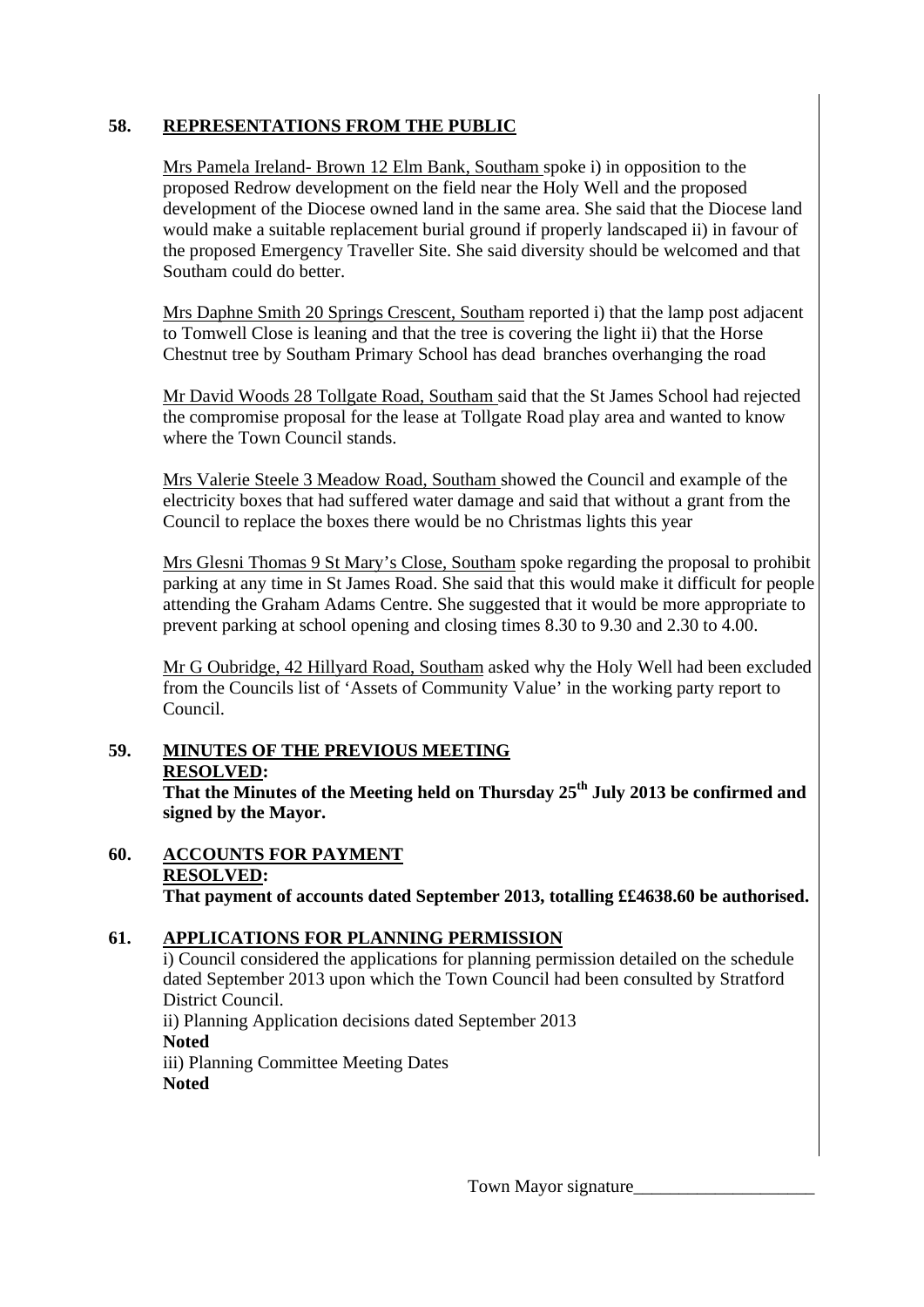## **58. REPRESENTATIONS FROM THE PUBLIC**

Mrs Pamela Ireland- Brown 12 Elm Bank, Southam spoke i) in opposition to the proposed Redrow development on the field near the Holy Well and the proposed development of the Diocese owned land in the same area. She said that the Diocese land would make a suitable replacement burial ground if properly landscaped ii) in favour of the proposed Emergency Traveller Site. She said diversity should be welcomed and that Southam could do better.

 Mrs Daphne Smith 20 Springs Crescent, Southam reported i) that the lamp post adjacent to Tomwell Close is leaning and that the tree is covering the light ii) that the Horse Chestnut tree by Southam Primary School has dead branches overhanging the road

 Mr David Woods 28 Tollgate Road, Southam said that the St James School had rejected the compromise proposal for the lease at Tollgate Road play area and wanted to know where the Town Council stands.

 Mrs Valerie Steele 3 Meadow Road, Southam showed the Council and example of the electricity boxes that had suffered water damage and said that without a grant from the Council to replace the boxes there would be no Christmas lights this year

 Mrs Glesni Thomas 9 St Mary's Close, Southam spoke regarding the proposal to prohibit parking at any time in St James Road. She said that this would make it difficult for people attending the Graham Adams Centre. She suggested that it would be more appropriate to prevent parking at school opening and closing times 8.30 to 9.30 and 2.30 to 4.00.

Mr G Oubridge, 42 Hillyard Road, Southam asked why the Holy Well had been excluded from the Councils list of 'Assets of Community Value' in the working party report to Council.

# **59. MINUTES OF THE PREVIOUS MEETING**

#### **RESOLVED:**

**That the Minutes of the Meeting held on Thursday 25th July 2013 be confirmed and signed by the Mayor.** 

**60. ACCOUNTS FOR PAYMENT RESOLVED: That payment of accounts dated September 2013, totalling ££4638.60 be authorised.** 

# **61. APPLICATIONS FOR PLANNING PERMISSION**

i) Council considered the applications for planning permission detailed on the schedule dated September 2013 upon which the Town Council had been consulted by Stratford District Council.

ii) Planning Application decisions dated September 2013 **Noted**  iii) Planning Committee Meeting Dates

**Noted**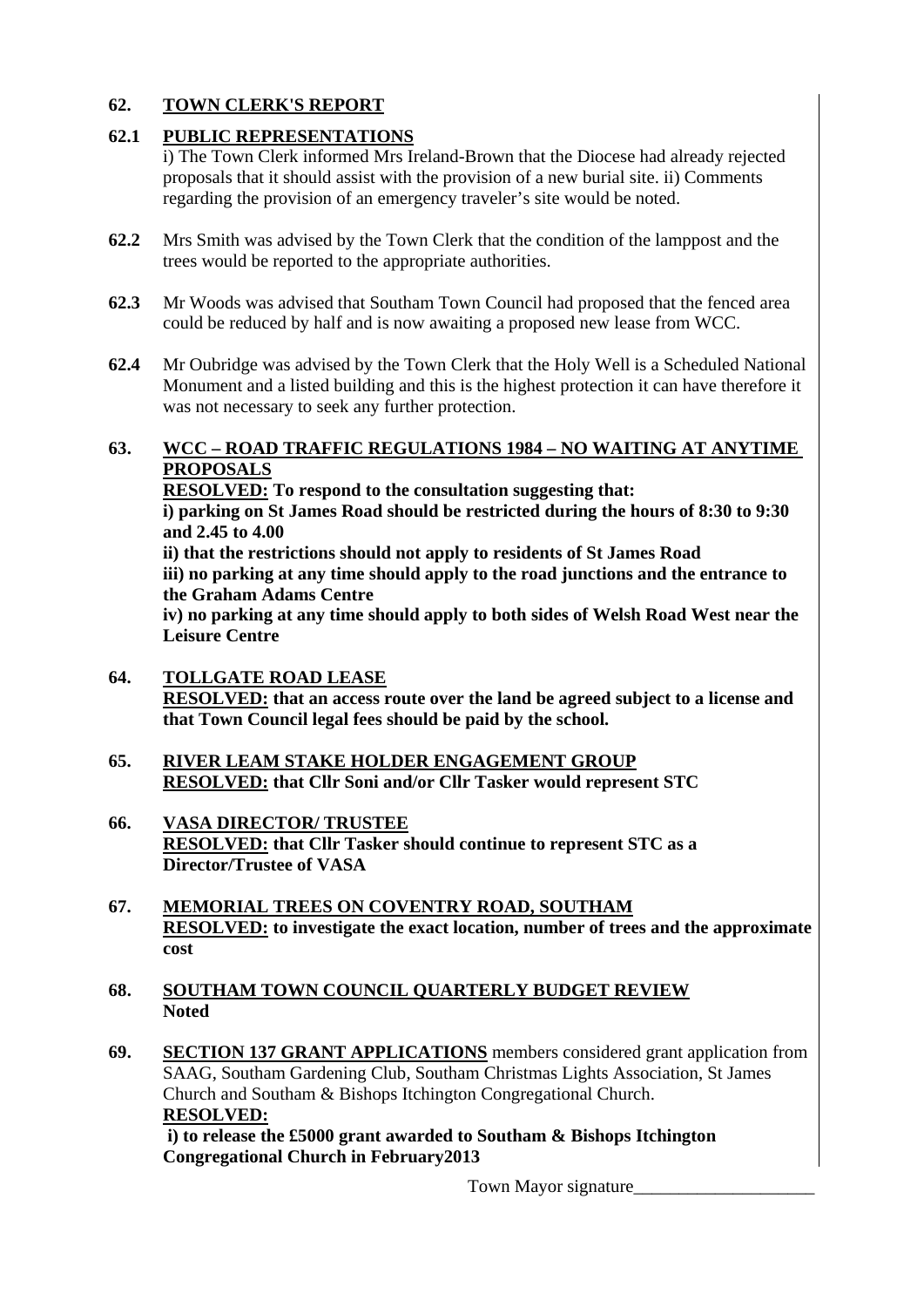# **62. TOWN CLERK'S REPORT**

# **62.1 PUBLIC REPRESENTATIONS**

i) The Town Clerk informed Mrs Ireland-Brown that the Diocese had already rejected proposals that it should assist with the provision of a new burial site. ii) Comments regarding the provision of an emergency traveler's site would be noted.

- **62.2** Mrs Smith was advised by the Town Clerk that the condition of the lamppost and the trees would be reported to the appropriate authorities.
- **62.3** Mr Woods was advised that Southam Town Council had proposed that the fenced area could be reduced by half and is now awaiting a proposed new lease from WCC.
- **62.4** Mr Oubridge was advised by the Town Clerk that the Holy Well is a Scheduled National Monument and a listed building and this is the highest protection it can have therefore it was not necessary to seek any further protection.

## **63. WCC – ROAD TRAFFIC REGULATIONS 1984 – NO WAITING AT ANYTIME PROPOSALS**

 **RESOLVED: To respond to the consultation suggesting that: i) parking on St James Road should be restricted during the hours of 8:30 to 9:30 and 2.45 to 4.00 ii) that the restrictions should not apply to residents of St James Road iii) no parking at any time should apply to the road junctions and the entrance to the Graham Adams Centre iv) no parking at any time should apply to both sides of Welsh Road West near the Leisure Centre** 

- **64. TOLLGATE ROAD LEASE RESOLVED: that an access route over the land be agreed subject to a license and that Town Council legal fees should be paid by the school.**
- **65. RIVER LEAM STAKE HOLDER ENGAGEMENT GROUP RESOLVED: that Cllr Soni and/or Cllr Tasker would represent STC**
- **66. VASA DIRECTOR/ TRUSTEE RESOLVED: that Cllr Tasker should continue to represent STC as a Director/Trustee of VASA**
- **67. MEMORIAL TREES ON COVENTRY ROAD, SOUTHAM RESOLVED: to investigate the exact location, number of trees and the approximate cost**
- **68. SOUTHAM TOWN COUNCIL QUARTERLY BUDGET REVIEW Noted**
- **69. SECTION 137 GRANT APPLICATIONS** members considered grant application from SAAG, Southam Gardening Club, Southam Christmas Lights Association, St James Church and Southam & Bishops Itchington Congregational Church.  **RESOLVED:**

 **i) to release the £5000 grant awarded to Southam & Bishops Itchington Congregational Church in February2013**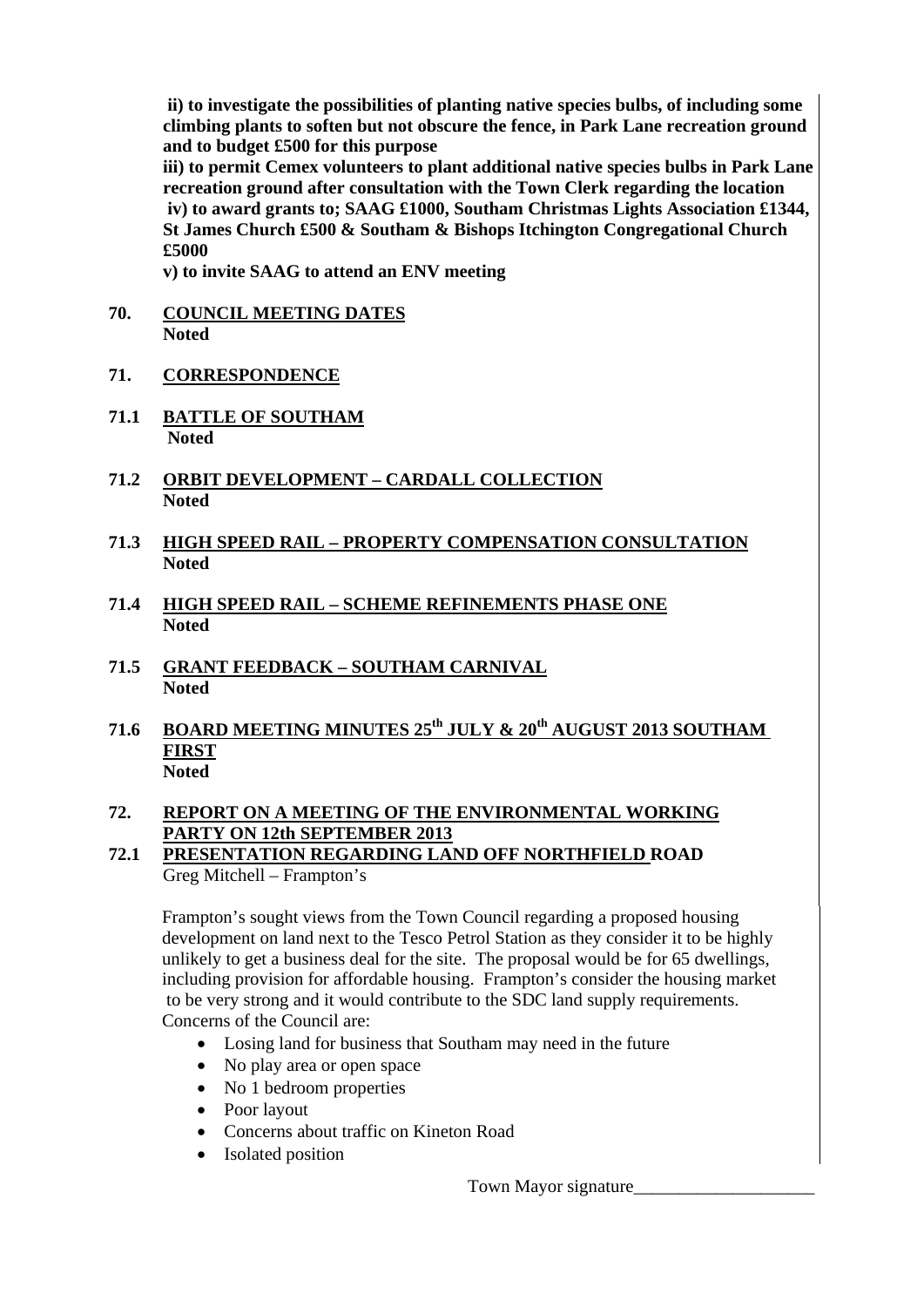**ii) to investigate the possibilities of planting native species bulbs, of including some climbing plants to soften but not obscure the fence, in Park Lane recreation ground and to budget £500 for this purpose** 

 **iii) to permit Cemex volunteers to plant additional native species bulbs in Park Lane recreation ground after consultation with the Town Clerk regarding the location iv) to award grants to; SAAG £1000, Southam Christmas Lights Association £1344, St James Church £500 & Southam & Bishops Itchington Congregational Church £5000** 

 **v) to invite SAAG to attend an ENV meeting** 

- **70. COUNCIL MEETING DATES Noted**
- **71. CORRESPONDENCE**
- **71.1 BATTLE OF SOUTHAM Noted**
- **71.2 ORBIT DEVELOPMENT CARDALL COLLECTION Noted**
- **71.3 HIGH SPEED RAIL PROPERTY COMPENSATION CONSULTATION Noted**
- **71.4 HIGH SPEED RAIL SCHEME REFINEMENTS PHASE ONE Noted**
- **71.5 GRANT FEEDBACK SOUTHAM CARNIVAL Noted**
- 71.6 BOARD MEETING MINUTES 25<sup>th</sup> JULY & 20<sup>th</sup> AUGUST 2013 SOUTHAM  **FIRST Noted**

# **72. REPORT ON A MEETING OF THE ENVIRONMENTAL WORKING PARTY ON 12th SEPTEMBER 2013**

**72.1 PRESENTATION REGARDING LAND OFF NORTHFIELD ROAD**  Greg Mitchell – Frampton's

Frampton's sought views from the Town Council regarding a proposed housing development on land next to the Tesco Petrol Station as they consider it to be highly unlikely to get a business deal for the site. The proposal would be for 65 dwellings, including provision for affordable housing. Frampton's consider the housing market to be very strong and it would contribute to the SDC land supply requirements. Concerns of the Council are:

- Losing land for business that Southam may need in the future
- No play area or open space
- No 1 bedroom properties
- Poor layout
- Concerns about traffic on Kineton Road
- Isolated position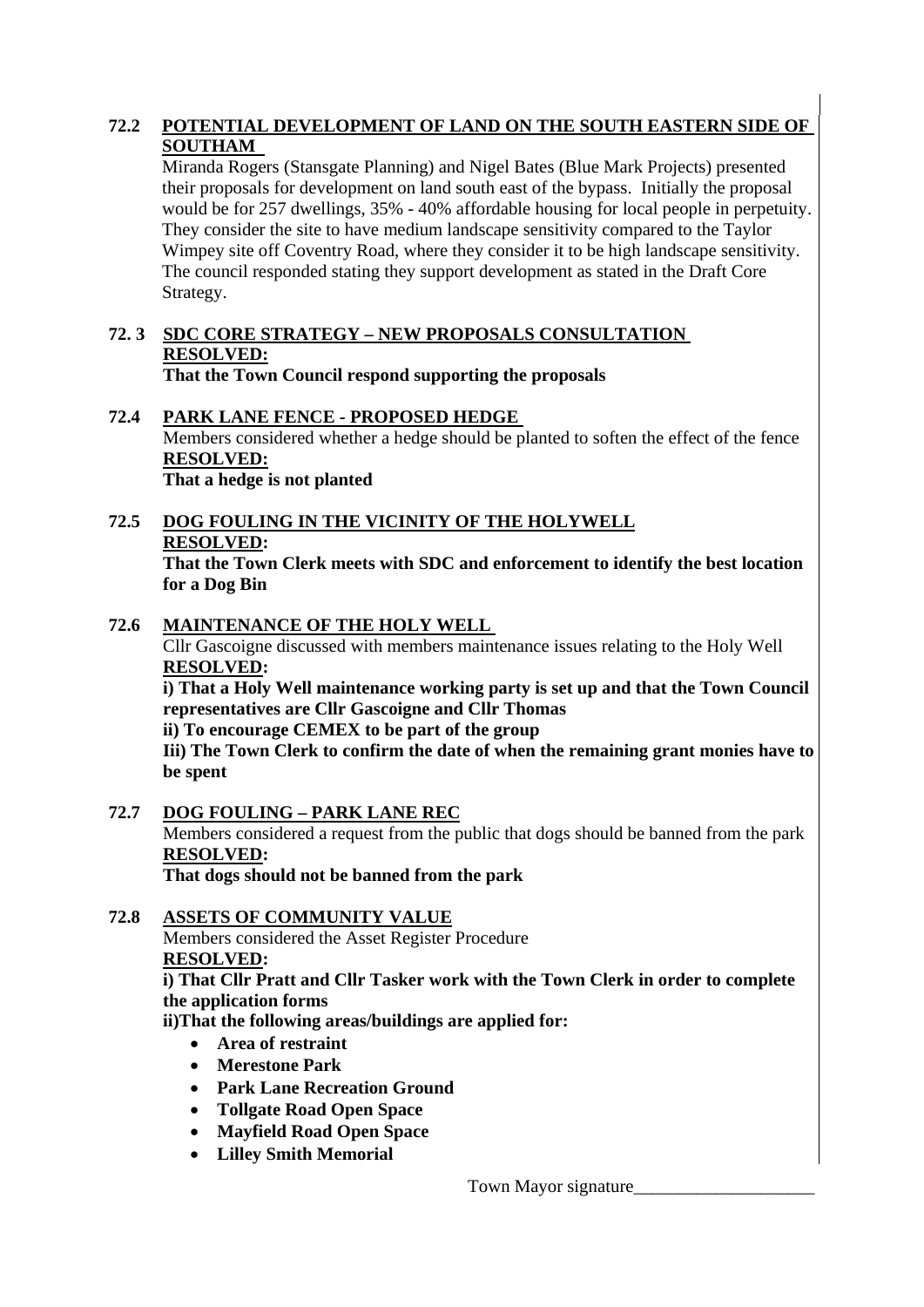# **72.2 POTENTIAL DEVELOPMENT OF LAND ON THE SOUTH EASTERN SIDE OF SOUTHAM**

Miranda Rogers (Stansgate Planning) and Nigel Bates (Blue Mark Projects) presented their proposals for development on land south east of the bypass. Initially the proposal would be for 257 dwellings, 35% - 40% affordable housing for local people in perpetuity. They consider the site to have medium landscape sensitivity compared to the Taylor Wimpey site off Coventry Road, where they consider it to be high landscape sensitivity. The council responded stating they support development as stated in the Draft Core Strategy.

#### **72. 3 SDC CORE STRATEGY – NEW PROPOSALS CONSULTATION RESOLVED: That the Town Council respond supporting the proposals**

# **72.4 PARK LANE FENCE - PROPOSED HEDGE**  Members considered whether a hedge should be planted to soften the effect of the fence **RESOLVED: That a hedge is not planted**

# **72.5 DOG FOULING IN THE VICINITY OF THE HOLYWELL RESOLVED:**

**That the Town Clerk meets with SDC and enforcement to identify the best location for a Dog Bin** 

# **72.6 MAINTENANCE OF THE HOLY WELL**

Cllr Gascoigne discussed with members maintenance issues relating to the Holy Well **RESOLVED:** 

**i) That a Holy Well maintenance working party is set up and that the Town Council representatives are Cllr Gascoigne and Cllr Thomas** 

**ii) To encourage CEMEX to be part of the group** 

**Iii) The Town Clerk to confirm the date of when the remaining grant monies have to be spent** 

**72.7 DOG FOULING – PARK LANE REC** Members considered a request from the public that dogs should be banned from the park **RESOLVED: That dogs should not be banned from the park**

# **72.8 ASSETS OF COMMUNITY VALUE**

Members considered the Asset Register Procedure  **RESOLVED:** 

**i) That Cllr Pratt and Cllr Tasker work with the Town Clerk in order to complete the application forms** 

**ii)That the following areas/buildings are applied for:** 

- **Area of restraint**
- **Merestone Park**
- **Park Lane Recreation Ground**
- **Tollgate Road Open Space**
- **Mayfield Road Open Space**
- **Lilley Smith Memorial**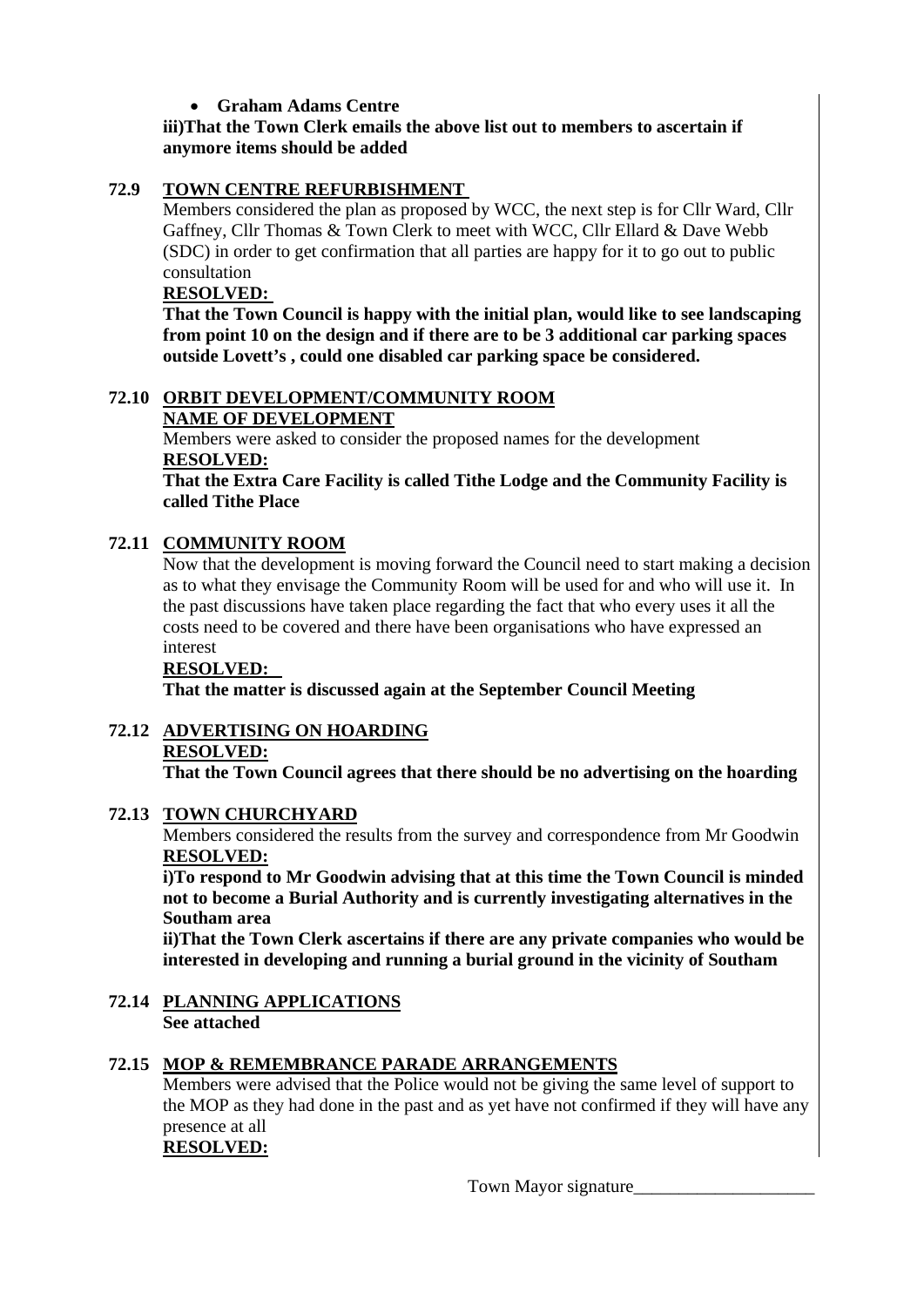# • **Graham Adams Centre**

# **iii)That the Town Clerk emails the above list out to members to ascertain if anymore items should be added**

# **72.9 TOWN CENTRE REFURBISHMENT**

Members considered the plan as proposed by WCC, the next step is for Cllr Ward, Cllr Gaffney, Cllr Thomas & Town Clerk to meet with WCC, Cllr Ellard & Dave Webb (SDC) in order to get confirmation that all parties are happy for it to go out to public consultation

#### **RESOLVED:**

**That the Town Council is happy with the initial plan, would like to see landscaping from point 10 on the design and if there are to be 3 additional car parking spaces outside Lovett's , could one disabled car parking space be considered.** 

## **72.10 ORBIT DEVELOPMENT/COMMUNITY ROOM NAME OF DEVELOPMENT**

Members were asked to consider the proposed names for the development **RESOLVED:**

**That the Extra Care Facility is called Tithe Lodge and the Community Facility is called Tithe Place** 

# **72.11 COMMUNITY ROOM**

Now that the development is moving forward the Council need to start making a decision as to what they envisage the Community Room will be used for and who will use it. In the past discussions have taken place regarding the fact that who every uses it all the costs need to be covered and there have been organisations who have expressed an interest

# **RESOLVED:**

**That the matter is discussed again at the September Council Meeting** 

**72.12 ADVERTISING ON HOARDING RESOLVED: That the Town Council agrees that there should be no advertising on the hoarding** 

# **72.13 TOWN CHURCHYARD**

Members considered the results from the survey and correspondence from Mr Goodwin **RESOLVED:**

**i)To respond to Mr Goodwin advising that at this time the Town Council is minded not to become a Burial Authority and is currently investigating alternatives in the Southam area** 

**ii)That the Town Clerk ascertains if there are any private companies who would be interested in developing and running a burial ground in the vicinity of Southam** 

**72.14 PLANNING APPLICATIONS See attached** 

# **72.15 MOP & REMEMBRANCE PARADE ARRANGEMENTS**

Members were advised that the Police would not be giving the same level of support to the MOP as they had done in the past and as yet have not confirmed if they will have any presence at all

## **RESOLVED:**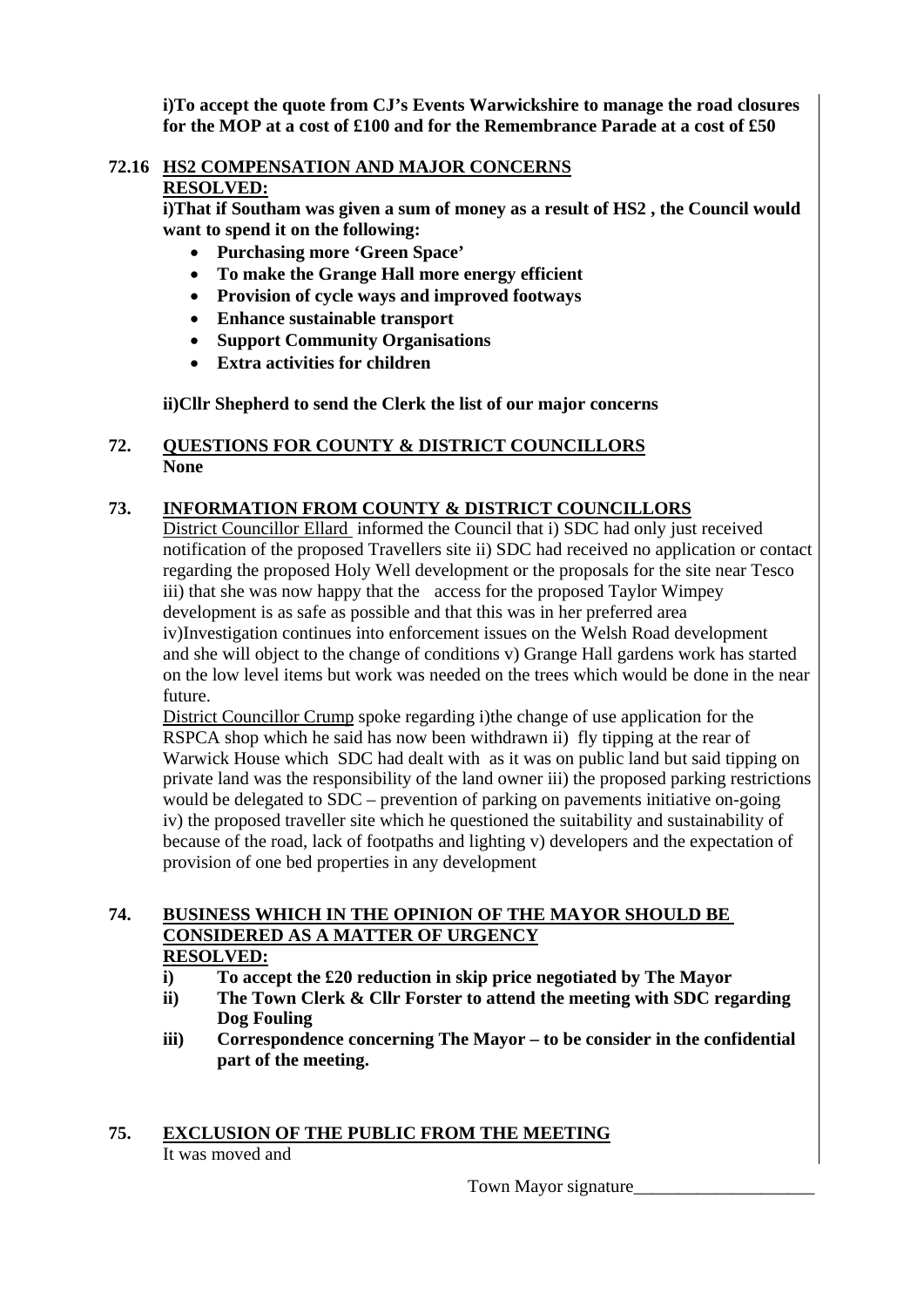**i)To accept the quote from CJ's Events Warwickshire to manage the road closures for the MOP at a cost of £100 and for the Remembrance Parade at a cost of £50** 

# **72.16 HS2 COMPENSATION AND MAJOR CONCERNS**

# **RESOLVED:**

**i)That if Southam was given a sum of money as a result of HS2 , the Council would want to spend it on the following:** 

- **Purchasing more 'Green Space'**
- **To make the Grange Hall more energy efficient**
- **Provision of cycle ways and improved footways**
- **Enhance sustainable transport**
- **Support Community Organisations**
- **Extra activities for children**

**ii)Cllr Shepherd to send the Clerk the list of our major concerns** 

## **72. QUESTIONS FOR COUNTY & DISTRICT COUNCILLORS None**

# **73. INFORMATION FROM COUNTY & DISTRICT COUNCILLORS**

 District Councillor Ellard informed the Council that i) SDC had only just received notification of the proposed Travellers site ii) SDC had received no application or contact regarding the proposed Holy Well development or the proposals for the site near Tesco iii) that she was now happy that the access for the proposed Taylor Wimpey development is as safe as possible and that this was in her preferred area iv)Investigation continues into enforcement issues on the Welsh Road development and she will object to the change of conditions v) Grange Hall gardens work has started on the low level items but work was needed on the trees which would be done in the near future.

 District Councillor Crump spoke regarding i)the change of use application for the RSPCA shop which he said has now been withdrawn ii) fly tipping at the rear of Warwick House which SDC had dealt with as it was on public land but said tipping on private land was the responsibility of the land owner iii) the proposed parking restrictions would be delegated to SDC – prevention of parking on pavements initiative on-going iv) the proposed traveller site which he questioned the suitability and sustainability of because of the road, lack of footpaths and lighting v) developers and the expectation of provision of one bed properties in any development

#### **74. BUSINESS WHICH IN THE OPINION OF THE MAYOR SHOULD BE CONSIDERED AS A MATTER OF URGENCY RESOLVED:**

- **i) To accept the £20 reduction in skip price negotiated by The Mayor**
- **ii) The Town Clerk & Cllr Forster to attend the meeting with SDC regarding Dog Fouling**
- **iii) Correspondence concerning The Mayor to be consider in the confidential part of the meeting.**

# **75. EXCLUSION OF THE PUBLIC FROM THE MEETING** It was moved and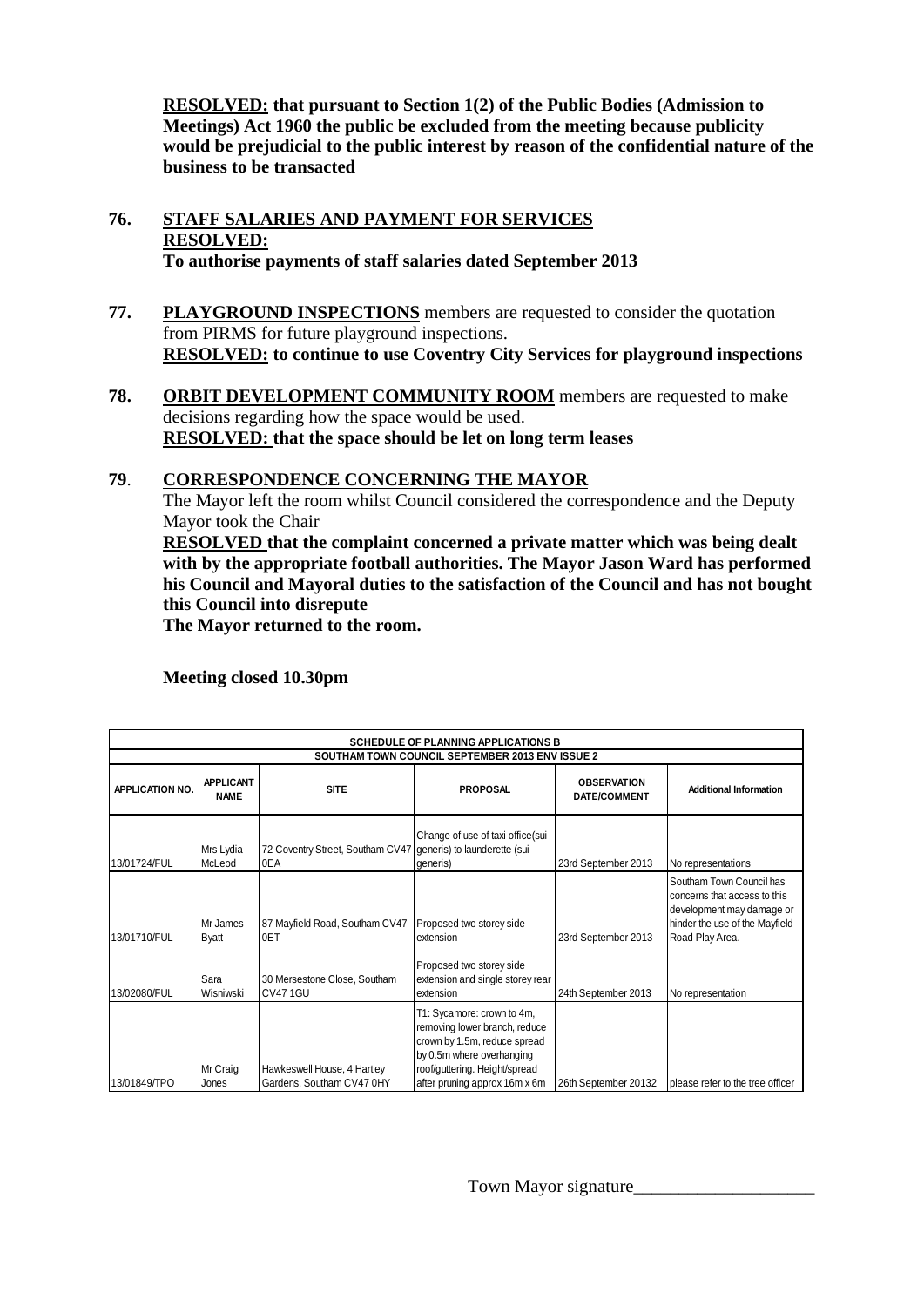**RESOLVED: that pursuant to Section 1(2) of the Public Bodies (Admission to Meetings) Act 1960 the public be excluded from the meeting because publicity would be prejudicial to the public interest by reason of the confidential nature of the business to be transacted** 

#### **76. STAFF SALARIES AND PAYMENT FOR SERVICES RESOLVED: To authorise payments of staff salaries dated September 2013**

- **77. PLAYGROUND INSPECTIONS** members are requested to consider the quotation from PIRMS for future playground inspections. **RESOLVED: to continue to use Coventry City Services for playground inspections**
- **78. ORBIT DEVELOPMENT COMMUNITY ROOM** members are requested to make decisions regarding how the space would be used. **RESOLVED: that the space should be let on long term leases**

## **79**. **CORRESPONDENCE CONCERNING THE MAYOR**

 The Mayor left the room whilst Council considered the correspondence and the Deputy Mayor took the Chair

**RESOLVED that the complaint concerned a private matter which was being dealt with by the appropriate football authorities. The Mayor Jason Ward has performed his Council and Mayoral duties to the satisfaction of the Council and has not bought this Council into disrepute** 

 **The Mayor returned to the room.** 

**APPLICATION NO. APPLICANT NAME SITE PROPOSAL OBSERVATION DATE/COMMENT Additional Information** 13/01724/FUL Mrs Lydia McLeod 72 Coventry Street, Southam CV47 0EA Change of use of taxi office(sui generis) to launderette (sui generis) 23rd September 2013 No representations 13/01710/FUL Mr James Byatt 87 Mayfield Road, Southam CV47 0ET Proposed two storey side extension 23rd September 2013 Southam Town Council has concerns that access to this development may damage or hinder the use of the Mayfield Road Play Area. 13/02080/FUL Sara Wisniwski 30 Mersestone Close, Southam CV47 1GU Proposed two storey side extension and single storey rear extension 24th September 2013 No representation 13/01849/TPO Mr Craig Jones Hawkeswell House, 4 Hartley Gardens, Southam CV47 0HY T1: Sycamore: crown to 4m, removing lower branch, reduce crown by 1.5m, reduce spread by 0.5m where overhanging roof/guttering. Height/spread after pruning approx 16m x 6m 26th September 20132 please refer to the tree officer **SCHEDULE OF PLANNING APPLICATIONS B SOUTHAM TOWN COUNCIL SEPTEMBER 2013 ENV ISSUE 2**

**Meeting closed 10.30pm**